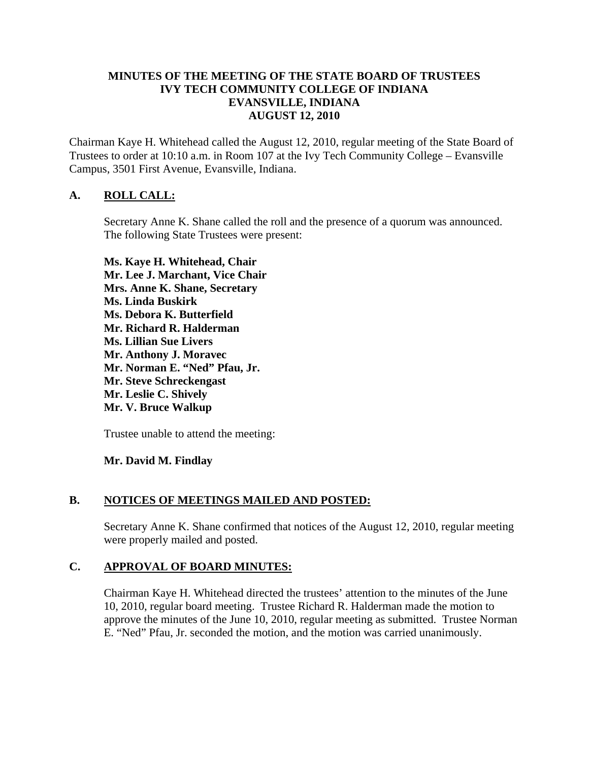### **MINUTES OF THE MEETING OF THE STATE BOARD OF TRUSTEES IVY TECH COMMUNITY COLLEGE OF INDIANA EVANSVILLE, INDIANA AUGUST 12, 2010**

Chairman Kaye H. Whitehead called the August 12, 2010, regular meeting of the State Board of Trustees to order at 10:10 a.m. in Room 107 at the Ivy Tech Community College – Evansville Campus, 3501 First Avenue, Evansville, Indiana.

# **A. ROLL CALL:**

Secretary Anne K. Shane called the roll and the presence of a quorum was announced. The following State Trustees were present:

**Ms. Kaye H. Whitehead, Chair Mr. Lee J. Marchant, Vice Chair Mrs. Anne K. Shane, Secretary Ms. Linda Buskirk Ms. Debora K. Butterfield Mr. Richard R. Halderman Ms. Lillian Sue Livers Mr. Anthony J. Moravec Mr. Norman E. "Ned" Pfau, Jr. Mr. Steve Schreckengast Mr. Leslie C. Shively Mr. V. Bruce Walkup** 

Trustee unable to attend the meeting:

**Mr. David M. Findlay** 

# **B. NOTICES OF MEETINGS MAILED AND POSTED:**

Secretary Anne K. Shane confirmed that notices of the August 12, 2010, regular meeting were properly mailed and posted.

# **C. APPROVAL OF BOARD MINUTES:**

Chairman Kaye H. Whitehead directed the trustees' attention to the minutes of the June 10, 2010, regular board meeting. Trustee Richard R. Halderman made the motion to approve the minutes of the June 10, 2010, regular meeting as submitted. Trustee Norman E. "Ned" Pfau, Jr. seconded the motion, and the motion was carried unanimously.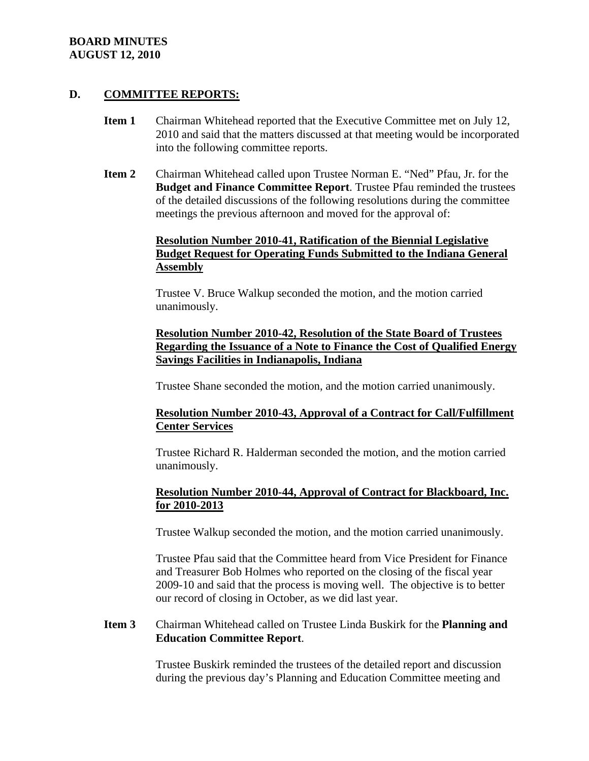### **BOARD MINUTES AUGUST 12, 2010**

### **D. COMMITTEE REPORTS:**

- **Item 1** Chairman Whitehead reported that the Executive Committee met on July 12, 2010 and said that the matters discussed at that meeting would be incorporated into the following committee reports.
- **Item 2** Chairman Whitehead called upon Trustee Norman E. "Ned" Pfau, Jr. for the **Budget and Finance Committee Report**. Trustee Pfau reminded the trustees of the detailed discussions of the following resolutions during the committee meetings the previous afternoon and moved for the approval of:

# **Resolution Number 2010-41, Ratification of the Biennial Legislative Budget Request for Operating Funds Submitted to the Indiana General Assembly**

Trustee V. Bruce Walkup seconded the motion, and the motion carried unanimously.

### **Resolution Number 2010-42, Resolution of the State Board of Trustees Regarding the Issuance of a Note to Finance the Cost of Qualified Energy Savings Facilities in Indianapolis, Indiana**

Trustee Shane seconded the motion, and the motion carried unanimously.

# **Resolution Number 2010-43, Approval of a Contract for Call/Fulfillment Center Services**

Trustee Richard R. Halderman seconded the motion, and the motion carried unanimously.

# **Resolution Number 2010-44, Approval of Contract for Blackboard, Inc. for 2010-2013**

Trustee Walkup seconded the motion, and the motion carried unanimously.

Trustee Pfau said that the Committee heard from Vice President for Finance and Treasurer Bob Holmes who reported on the closing of the fiscal year 2009-10 and said that the process is moving well. The objective is to better our record of closing in October, as we did last year.

# **Item 3** Chairman Whitehead called on Trustee Linda Buskirk for the **Planning and Education Committee Report**.

Trustee Buskirk reminded the trustees of the detailed report and discussion during the previous day's Planning and Education Committee meeting and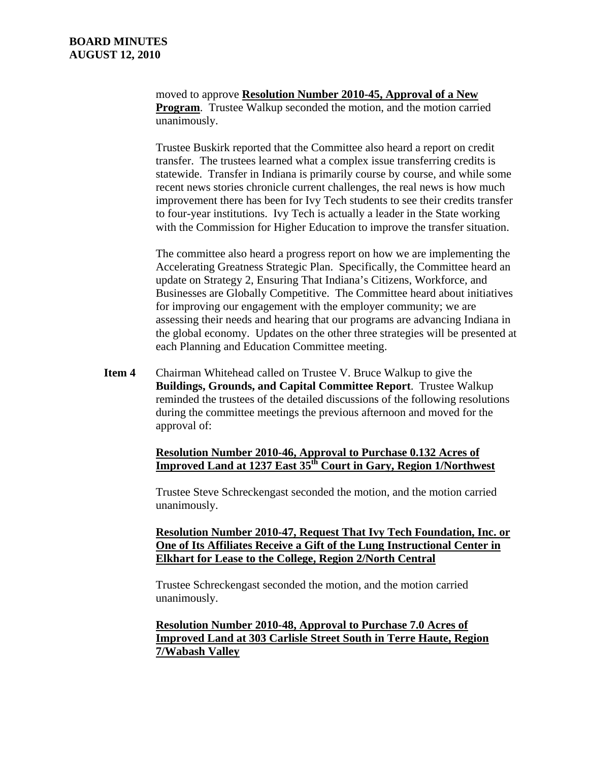moved to approve **Resolution Number 2010-45, Approval of a New Program.** Trustee Walkup seconded the motion, and the motion carried unanimously.

Trustee Buskirk reported that the Committee also heard a report on credit transfer. The trustees learned what a complex issue transferring credits is statewide. Transfer in Indiana is primarily course by course, and while some recent news stories chronicle current challenges, the real news is how much improvement there has been for Ivy Tech students to see their credits transfer to four-year institutions. Ivy Tech is actually a leader in the State working with the Commission for Higher Education to improve the transfer situation.

The committee also heard a progress report on how we are implementing the Accelerating Greatness Strategic Plan. Specifically, the Committee heard an update on Strategy 2, Ensuring That Indiana's Citizens, Workforce, and Businesses are Globally Competitive. The Committee heard about initiatives for improving our engagement with the employer community; we are assessing their needs and hearing that our programs are advancing Indiana in the global economy. Updates on the other three strategies will be presented at each Planning and Education Committee meeting.

**Item 4** Chairman Whitehead called on Trustee V. Bruce Walkup to give the **Buildings, Grounds, and Capital Committee Report**. Trustee Walkup reminded the trustees of the detailed discussions of the following resolutions during the committee meetings the previous afternoon and moved for the approval of:

# **Resolution Number 2010-46, Approval to Purchase 0.132 Acres of Improved Land at 1237 East 35th Court in Gary, Region 1/Northwest**

Trustee Steve Schreckengast seconded the motion, and the motion carried unanimously.

#### **Resolution Number 2010-47, Request That Ivy Tech Foundation, Inc. or One of Its Affiliates Receive a Gift of the Lung Instructional Center in Elkhart for Lease to the College, Region 2/North Central**

Trustee Schreckengast seconded the motion, and the motion carried unanimously.

# **Resolution Number 2010-48, Approval to Purchase 7.0 Acres of Improved Land at 303 Carlisle Street South in Terre Haute, Region 7/Wabash Valley**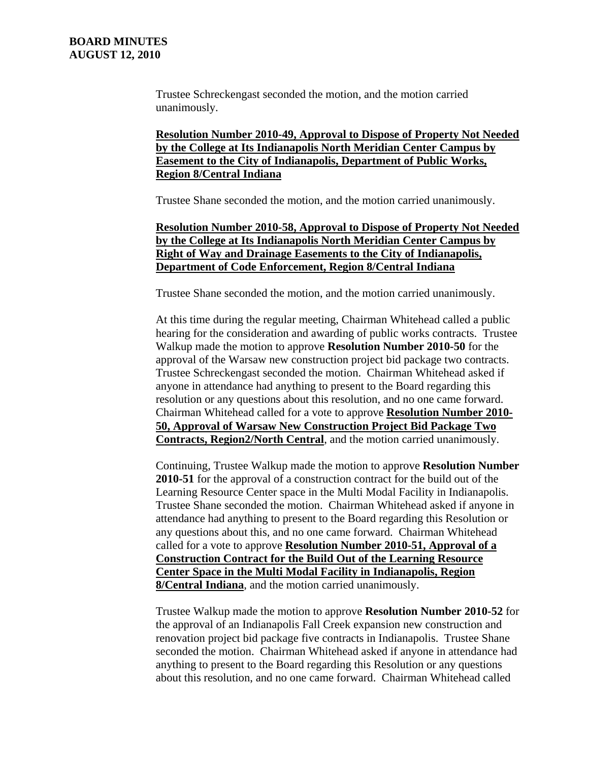Trustee Schreckengast seconded the motion, and the motion carried unanimously.

**Resolution Number 2010-49, Approval to Dispose of Property Not Needed by the College at Its Indianapolis North Meridian Center Campus by Easement to the City of Indianapolis, Department of Public Works, Region 8/Central Indiana**

Trustee Shane seconded the motion, and the motion carried unanimously.

### **Resolution Number 2010-58, Approval to Dispose of Property Not Needed by the College at Its Indianapolis North Meridian Center Campus by Right of Way and Drainage Easements to the City of Indianapolis, Department of Code Enforcement, Region 8/Central Indiana**

Trustee Shane seconded the motion, and the motion carried unanimously.

At this time during the regular meeting, Chairman Whitehead called a public hearing for the consideration and awarding of public works contracts. Trustee Walkup made the motion to approve **Resolution Number 2010-50** for the approval of the Warsaw new construction project bid package two contracts. Trustee Schreckengast seconded the motion. Chairman Whitehead asked if anyone in attendance had anything to present to the Board regarding this resolution or any questions about this resolution, and no one came forward. Chairman Whitehead called for a vote to approve **Resolution Number 2010- 50, Approval of Warsaw New Construction Project Bid Package Two Contracts, Region2/North Central**, and the motion carried unanimously.

Continuing, Trustee Walkup made the motion to approve **Resolution Number 2010-51** for the approval of a construction contract for the build out of the Learning Resource Center space in the Multi Modal Facility in Indianapolis. Trustee Shane seconded the motion. Chairman Whitehead asked if anyone in attendance had anything to present to the Board regarding this Resolution or any questions about this, and no one came forward. Chairman Whitehead called for a vote to approve **Resolution Number 2010-51, Approval of a Construction Contract for the Build Out of the Learning Resource Center Space in the Multi Modal Facility in Indianapolis, Region 8/Central Indiana**, and the motion carried unanimously.

Trustee Walkup made the motion to approve **Resolution Number 2010-52** for the approval of an Indianapolis Fall Creek expansion new construction and renovation project bid package five contracts in Indianapolis. Trustee Shane seconded the motion. Chairman Whitehead asked if anyone in attendance had anything to present to the Board regarding this Resolution or any questions about this resolution, and no one came forward. Chairman Whitehead called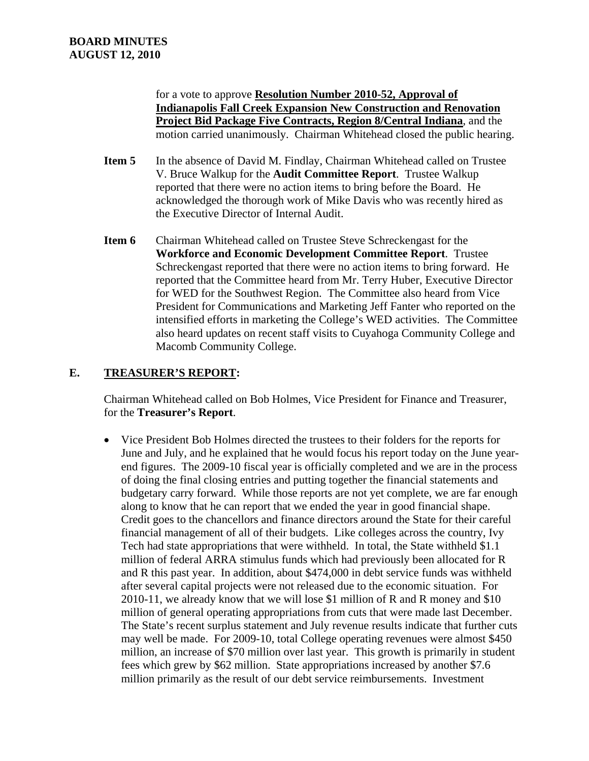for a vote to approve **Resolution Number 2010-52, Approval of Indianapolis Fall Creek Expansion New Construction and Renovation Project Bid Package Five Contracts, Region 8/Central Indiana**, and the motion carried unanimously. Chairman Whitehead closed the public hearing.

- **Item 5** In the absence of David M. Findlay, Chairman Whitehead called on Trustee V. Bruce Walkup for the **Audit Committee Report**. Trustee Walkup reported that there were no action items to bring before the Board. He acknowledged the thorough work of Mike Davis who was recently hired as the Executive Director of Internal Audit.
- **Item 6** Chairman Whitehead called on Trustee Steve Schreckengast for the **Workforce and Economic Development Committee Report**. Trustee Schreckengast reported that there were no action items to bring forward. He reported that the Committee heard from Mr. Terry Huber, Executive Director for WED for the Southwest Region. The Committee also heard from Vice President for Communications and Marketing Jeff Fanter who reported on the intensified efforts in marketing the College's WED activities. The Committee also heard updates on recent staff visits to Cuyahoga Community College and Macomb Community College.

# **E. TREASURER'S REPORT:**

Chairman Whitehead called on Bob Holmes, Vice President for Finance and Treasurer, for the **Treasurer's Report**.

 Vice President Bob Holmes directed the trustees to their folders for the reports for June and July, and he explained that he would focus his report today on the June yearend figures. The 2009-10 fiscal year is officially completed and we are in the process of doing the final closing entries and putting together the financial statements and budgetary carry forward. While those reports are not yet complete, we are far enough along to know that he can report that we ended the year in good financial shape. Credit goes to the chancellors and finance directors around the State for their careful financial management of all of their budgets. Like colleges across the country, Ivy Tech had state appropriations that were withheld. In total, the State withheld \$1.1 million of federal ARRA stimulus funds which had previously been allocated for R and R this past year. In addition, about \$474,000 in debt service funds was withheld after several capital projects were not released due to the economic situation. For 2010-11, we already know that we will lose \$1 million of R and R money and \$10 million of general operating appropriations from cuts that were made last December. The State's recent surplus statement and July revenue results indicate that further cuts may well be made. For 2009-10, total College operating revenues were almost \$450 million, an increase of \$70 million over last year. This growth is primarily in student fees which grew by \$62 million. State appropriations increased by another \$7.6 million primarily as the result of our debt service reimbursements. Investment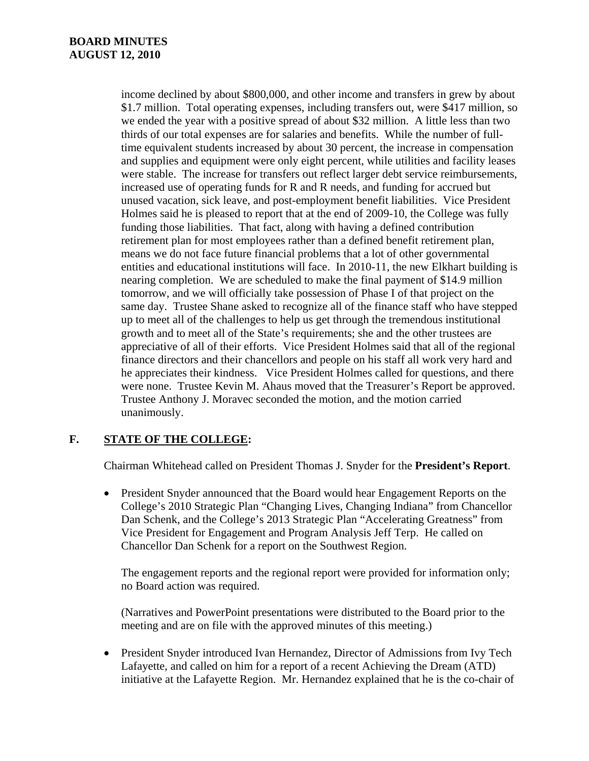income declined by about \$800,000, and other income and transfers in grew by about \$1.7 million. Total operating expenses, including transfers out, were \$417 million, so we ended the year with a positive spread of about \$32 million. A little less than two thirds of our total expenses are for salaries and benefits. While the number of fulltime equivalent students increased by about 30 percent, the increase in compensation and supplies and equipment were only eight percent, while utilities and facility leases were stable. The increase for transfers out reflect larger debt service reimbursements, increased use of operating funds for R and R needs, and funding for accrued but unused vacation, sick leave, and post-employment benefit liabilities. Vice President Holmes said he is pleased to report that at the end of 2009-10, the College was fully funding those liabilities. That fact, along with having a defined contribution retirement plan for most employees rather than a defined benefit retirement plan, means we do not face future financial problems that a lot of other governmental entities and educational institutions will face. In 2010-11, the new Elkhart building is nearing completion. We are scheduled to make the final payment of \$14.9 million tomorrow, and we will officially take possession of Phase I of that project on the same day. Trustee Shane asked to recognize all of the finance staff who have stepped up to meet all of the challenges to help us get through the tremendous institutional growth and to meet all of the State's requirements; she and the other trustees are appreciative of all of their efforts. Vice President Holmes said that all of the regional finance directors and their chancellors and people on his staff all work very hard and he appreciates their kindness. Vice President Holmes called for questions, and there were none. Trustee Kevin M. Ahaus moved that the Treasurer's Report be approved. Trustee Anthony J. Moravec seconded the motion, and the motion carried unanimously.

# **F. STATE OF THE COLLEGE:**

Chairman Whitehead called on President Thomas J. Snyder for the **President's Report**.

 President Snyder announced that the Board would hear Engagement Reports on the College's 2010 Strategic Plan "Changing Lives, Changing Indiana" from Chancellor Dan Schenk, and the College's 2013 Strategic Plan "Accelerating Greatness" from Vice President for Engagement and Program Analysis Jeff Terp. He called on Chancellor Dan Schenk for a report on the Southwest Region.

The engagement reports and the regional report were provided for information only; no Board action was required.

(Narratives and PowerPoint presentations were distributed to the Board prior to the meeting and are on file with the approved minutes of this meeting.)

 President Snyder introduced Ivan Hernandez, Director of Admissions from Ivy Tech Lafayette, and called on him for a report of a recent Achieving the Dream (ATD) initiative at the Lafayette Region. Mr. Hernandez explained that he is the co-chair of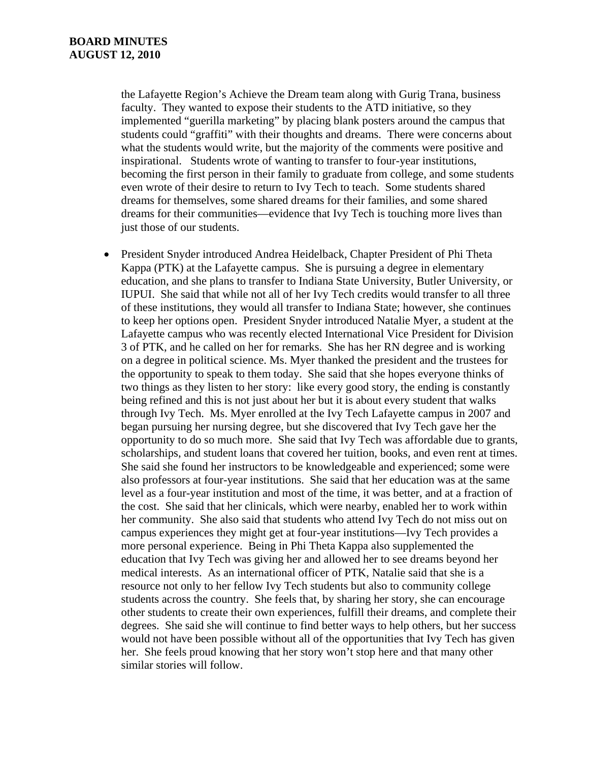the Lafayette Region's Achieve the Dream team along with Gurig Trana, business faculty. They wanted to expose their students to the ATD initiative, so they implemented "guerilla marketing" by placing blank posters around the campus that students could "graffiti" with their thoughts and dreams. There were concerns about what the students would write, but the majority of the comments were positive and inspirational. Students wrote of wanting to transfer to four-year institutions, becoming the first person in their family to graduate from college, and some students even wrote of their desire to return to Ivy Tech to teach. Some students shared dreams for themselves, some shared dreams for their families, and some shared dreams for their communities—evidence that Ivy Tech is touching more lives than just those of our students.

 President Snyder introduced Andrea Heidelback, Chapter President of Phi Theta Kappa (PTK) at the Lafayette campus. She is pursuing a degree in elementary education, and she plans to transfer to Indiana State University, Butler University, or IUPUI. She said that while not all of her Ivy Tech credits would transfer to all three of these institutions, they would all transfer to Indiana State; however, she continues to keep her options open. President Snyder introduced Natalie Myer, a student at the Lafayette campus who was recently elected International Vice President for Division 3 of PTK, and he called on her for remarks. She has her RN degree and is working on a degree in political science. Ms. Myer thanked the president and the trustees for the opportunity to speak to them today. She said that she hopes everyone thinks of two things as they listen to her story: like every good story, the ending is constantly being refined and this is not just about her but it is about every student that walks through Ivy Tech. Ms. Myer enrolled at the Ivy Tech Lafayette campus in 2007 and began pursuing her nursing degree, but she discovered that Ivy Tech gave her the opportunity to do so much more. She said that Ivy Tech was affordable due to grants, scholarships, and student loans that covered her tuition, books, and even rent at times. She said she found her instructors to be knowledgeable and experienced; some were also professors at four-year institutions. She said that her education was at the same level as a four-year institution and most of the time, it was better, and at a fraction of the cost. She said that her clinicals, which were nearby, enabled her to work within her community. She also said that students who attend Ivy Tech do not miss out on campus experiences they might get at four-year institutions—Ivy Tech provides a more personal experience. Being in Phi Theta Kappa also supplemented the education that Ivy Tech was giving her and allowed her to see dreams beyond her medical interests. As an international officer of PTK, Natalie said that she is a resource not only to her fellow Ivy Tech students but also to community college students across the country. She feels that, by sharing her story, she can encourage other students to create their own experiences, fulfill their dreams, and complete their degrees. She said she will continue to find better ways to help others, but her success would not have been possible without all of the opportunities that Ivy Tech has given her. She feels proud knowing that her story won't stop here and that many other similar stories will follow.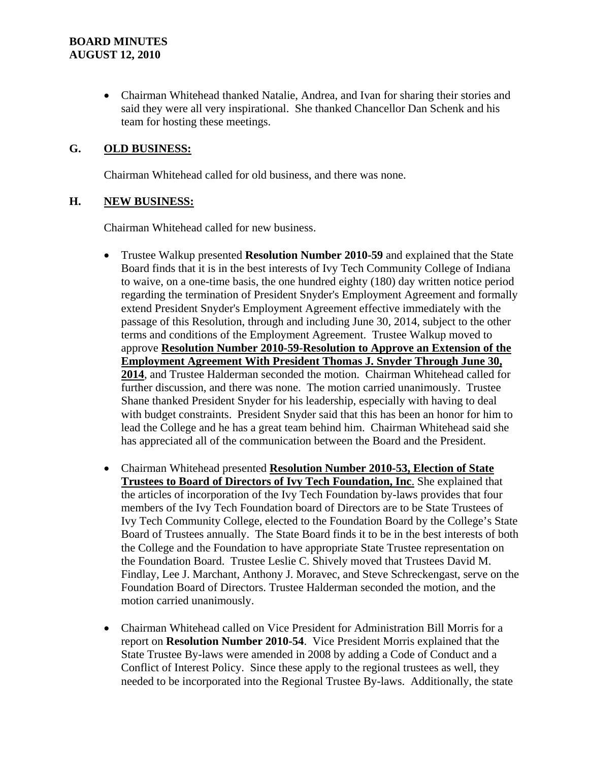Chairman Whitehead thanked Natalie, Andrea, and Ivan for sharing their stories and said they were all very inspirational. She thanked Chancellor Dan Schenk and his team for hosting these meetings.

### **G. OLD BUSINESS:**

Chairman Whitehead called for old business, and there was none.

#### **H. NEW BUSINESS:**

Chairman Whitehead called for new business.

- Trustee Walkup presented **Resolution Number 2010-59** and explained that the State Board finds that it is in the best interests of Ivy Tech Community College of Indiana to waive, on a one-time basis, the one hundred eighty (180) day written notice period regarding the termination of President Snyder's Employment Agreement and formally extend President Snyder's Employment Agreement effective immediately with the passage of this Resolution, through and including June 30, 2014, subject to the other terms and conditions of the Employment Agreement. Trustee Walkup moved to approve **Resolution Number 2010-59-Resolution to Approve an Extension of the Employment Agreement With President Thomas J. Snyder Through June 30, 2014**, and Trustee Halderman seconded the motion. Chairman Whitehead called for further discussion, and there was none. The motion carried unanimously. Trustee Shane thanked President Snyder for his leadership, especially with having to deal with budget constraints. President Snyder said that this has been an honor for him to lead the College and he has a great team behind him. Chairman Whitehead said she has appreciated all of the communication between the Board and the President.
- Chairman Whitehead presented **Resolution Number 2010-53, Election of State Trustees to Board of Directors of Ivy Tech Foundation, Inc**. She explained that the articles of incorporation of the Ivy Tech Foundation by-laws provides that four members of the Ivy Tech Foundation board of Directors are to be State Trustees of Ivy Tech Community College, elected to the Foundation Board by the College's State Board of Trustees annually. The State Board finds it to be in the best interests of both the College and the Foundation to have appropriate State Trustee representation on the Foundation Board. Trustee Leslie C. Shively moved that Trustees David M. Findlay, Lee J. Marchant, Anthony J. Moravec, and Steve Schreckengast, serve on the Foundation Board of Directors. Trustee Halderman seconded the motion, and the motion carried unanimously.
- Chairman Whitehead called on Vice President for Administration Bill Morris for a report on **Resolution Number 2010-54**. Vice President Morris explained that the State Trustee By-laws were amended in 2008 by adding a Code of Conduct and a Conflict of Interest Policy. Since these apply to the regional trustees as well, they needed to be incorporated into the Regional Trustee By-laws. Additionally, the state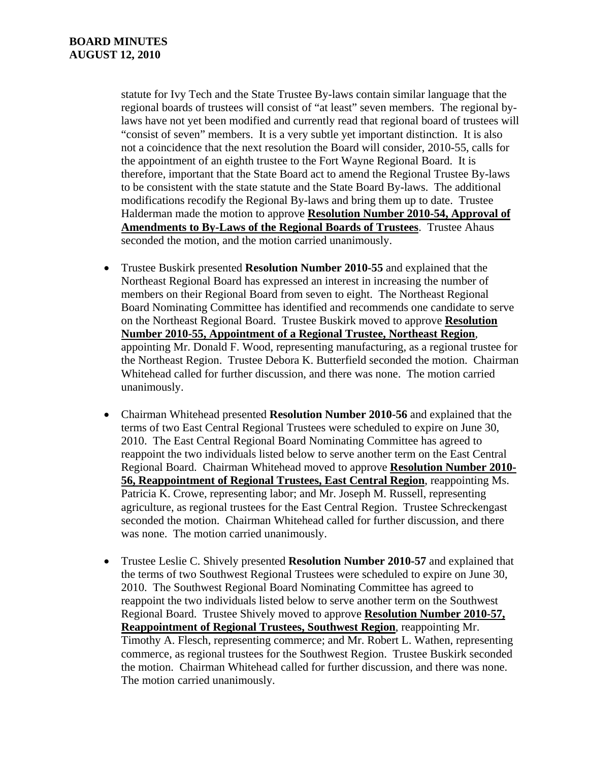statute for Ivy Tech and the State Trustee By-laws contain similar language that the regional boards of trustees will consist of "at least" seven members. The regional bylaws have not yet been modified and currently read that regional board of trustees will "consist of seven" members. It is a very subtle yet important distinction. It is also not a coincidence that the next resolution the Board will consider, 2010-55, calls for the appointment of an eighth trustee to the Fort Wayne Regional Board. It is therefore, important that the State Board act to amend the Regional Trustee By-laws to be consistent with the state statute and the State Board By-laws. The additional modifications recodify the Regional By-laws and bring them up to date. Trustee Halderman made the motion to approve **Resolution Number 2010-54, Approval of Amendments to By-Laws of the Regional Boards of Trustees**. Trustee Ahaus seconded the motion, and the motion carried unanimously.

- Trustee Buskirk presented **Resolution Number 2010-55** and explained that the Northeast Regional Board has expressed an interest in increasing the number of members on their Regional Board from seven to eight. The Northeast Regional Board Nominating Committee has identified and recommends one candidate to serve on the Northeast Regional Board. Trustee Buskirk moved to approve **Resolution Number 2010-55, Appointment of a Regional Trustee, Northeast Region**, appointing Mr. Donald F. Wood, representing manufacturing, as a regional trustee for the Northeast Region. Trustee Debora K. Butterfield seconded the motion. Chairman Whitehead called for further discussion, and there was none. The motion carried unanimously.
- Chairman Whitehead presented **Resolution Number 2010-56** and explained that the terms of two East Central Regional Trustees were scheduled to expire on June 30, 2010. The East Central Regional Board Nominating Committee has agreed to reappoint the two individuals listed below to serve another term on the East Central Regional Board. Chairman Whitehead moved to approve **Resolution Number 2010- 56, Reappointment of Regional Trustees, East Central Region**, reappointing Ms. Patricia K. Crowe, representing labor; and Mr. Joseph M. Russell, representing agriculture, as regional trustees for the East Central Region. Trustee Schreckengast seconded the motion. Chairman Whitehead called for further discussion, and there was none. The motion carried unanimously.
- Trustee Leslie C. Shively presented **Resolution Number 2010-57** and explained that the terms of two Southwest Regional Trustees were scheduled to expire on June 30, 2010. The Southwest Regional Board Nominating Committee has agreed to reappoint the two individuals listed below to serve another term on the Southwest Regional Board. Trustee Shively moved to approve **Resolution Number 2010-57, Reappointment of Regional Trustees, Southwest Region**, reappointing Mr. Timothy A. Flesch, representing commerce; and Mr. Robert L. Wathen, representing commerce, as regional trustees for the Southwest Region. Trustee Buskirk seconded the motion. Chairman Whitehead called for further discussion, and there was none. The motion carried unanimously.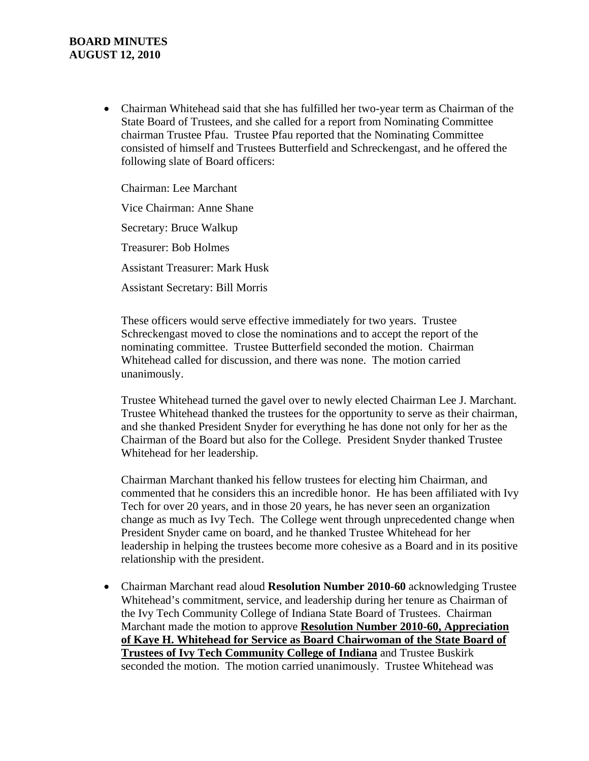### **BOARD MINUTES AUGUST 12, 2010**

 Chairman Whitehead said that she has fulfilled her two-year term as Chairman of the State Board of Trustees, and she called for a report from Nominating Committee chairman Trustee Pfau. Trustee Pfau reported that the Nominating Committee consisted of himself and Trustees Butterfield and Schreckengast, and he offered the following slate of Board officers:

Chairman: Lee Marchant Vice Chairman: Anne Shane Secretary: Bruce Walkup Treasurer: Bob Holmes Assistant Treasurer: Mark Husk Assistant Secretary: Bill Morris

These officers would serve effective immediately for two years. Trustee Schreckengast moved to close the nominations and to accept the report of the nominating committee. Trustee Butterfield seconded the motion. Chairman Whitehead called for discussion, and there was none. The motion carried unanimously.

Trustee Whitehead turned the gavel over to newly elected Chairman Lee J. Marchant. Trustee Whitehead thanked the trustees for the opportunity to serve as their chairman, and she thanked President Snyder for everything he has done not only for her as the Chairman of the Board but also for the College. President Snyder thanked Trustee Whitehead for her leadership.

Chairman Marchant thanked his fellow trustees for electing him Chairman, and commented that he considers this an incredible honor. He has been affiliated with Ivy Tech for over 20 years, and in those 20 years, he has never seen an organization change as much as Ivy Tech. The College went through unprecedented change when President Snyder came on board, and he thanked Trustee Whitehead for her leadership in helping the trustees become more cohesive as a Board and in its positive relationship with the president.

 Chairman Marchant read aloud **Resolution Number 2010-60** acknowledging Trustee Whitehead's commitment, service, and leadership during her tenure as Chairman of the Ivy Tech Community College of Indiana State Board of Trustees. Chairman Marchant made the motion to approve **Resolution Number 2010-60, Appreciation of Kaye H. Whitehead for Service as Board Chairwoman of the State Board of Trustees of Ivy Tech Community College of Indiana** and Trustee Buskirk seconded the motion. The motion carried unanimously. Trustee Whitehead was